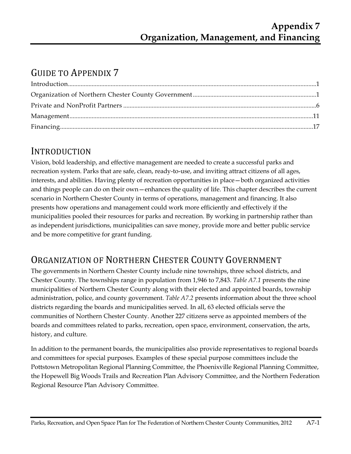# GUIDE TO APPENDIX 7

## INTRODUCTION

Vision, bold leadership, and effective management are needed to create a successful parks and recreation system. Parks that are safe, clean, ready-to-use, and inviting attract citizens of all ages, interests, and abilities. Having plenty of recreation opportunities in place—both organized activities and things people can do on their own—enhances the quality of life. This chapter describes the current scenario in Northern Chester County in terms of operations, management and financing. It also presents how operations and management could work more efficiently and effectively if the municipalities pooled their resources for parks and recreation. By working in partnership rather than as independent jurisdictions, municipalities can save money, provide more and better public service and be more competitive for grant funding.

# ORGANIZATION OF NORTHERN CHESTER COUNTY GOVERNMENT

The governments in Northern Chester County include nine townships, three school districts, and Chester County. The townships range in population from 1,946 to 7,843. *Table A7.1* presents the nine municipalities of Northern Chester County along with their elected and appointed boards, township administration, police, and county government. *Table A7.2* presents information about the three school districts regarding the boards and municipalities served. In all, 63 elected officials serve the communities of Northern Chester County. Another 227 citizens serve as appointed members of the boards and committees related to parks, recreation, open space, environment, conservation, the arts, history, and culture.

In addition to the permanent boards, the municipalities also provide representatives to regional boards and committees for special purposes. Examples of these special purpose committees include the Pottstown Metropolitan Regional Planning Committee, the Phoenixville Regional Planning Committee, the Hopewell Big Woods Trails and Recreation Plan Advisory Committee, and the Northern Federation Regional Resource Plan Advisory Committee.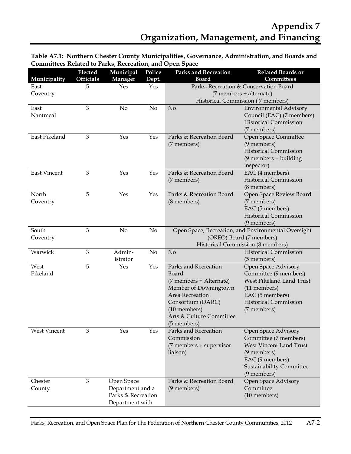| Table A7.1: Northern Chester County Municipalities, Governance, Administration, and Boards and |  |
|------------------------------------------------------------------------------------------------|--|
| <b>Committees Related to Parks, Recreation, and Open Space</b>                                 |  |

| Municipality        | Elected<br><b>Officials</b> | Municipal<br>Manager | Police<br>Dept.      | <b>Parks and Recreation</b><br><b>Board</b>                             | <b>Related Boards or</b><br>Committees                  |  |
|---------------------|-----------------------------|----------------------|----------------------|-------------------------------------------------------------------------|---------------------------------------------------------|--|
| East                | 5                           | Yes                  | Yes                  |                                                                         | Parks, Recreation & Conservation Board                  |  |
| Coventry            |                             |                      |                      |                                                                         | (7 members + alternate)                                 |  |
|                     |                             |                      |                      |                                                                         | Historical Commission (7 members)                       |  |
| East                | 3                           | No                   | No                   | No                                                                      | <b>Environmental Advisory</b>                           |  |
| Nantmeal            |                             |                      |                      |                                                                         | Council (EAC) (7 members)                               |  |
|                     |                             |                      |                      |                                                                         | <b>Historical Commission</b>                            |  |
| East Pikeland       |                             |                      |                      | Parks & Recreation Board                                                | (7 members)                                             |  |
|                     | 3                           | Yes                  | Yes                  | (7 members)                                                             | Open Space Committee<br>(9 members)                     |  |
|                     |                             |                      |                      |                                                                         | <b>Historical Commission</b>                            |  |
|                     |                             |                      |                      |                                                                         | $(9$ members + building                                 |  |
|                     |                             |                      |                      |                                                                         | inspector)                                              |  |
| <b>East Vincent</b> | 3                           | Yes                  | Yes                  | Parks & Recreation Board                                                | EAC (4 members)                                         |  |
|                     |                             |                      |                      | (7 members)                                                             | <b>Historical Commission</b>                            |  |
|                     |                             |                      |                      |                                                                         | (8 members)                                             |  |
| North               | 5                           | Yes                  | Yes                  | Parks & Recreation Board                                                | Open Space Review Board                                 |  |
| Coventry            |                             |                      |                      | (8 members)                                                             | (7 members)                                             |  |
|                     |                             |                      |                      |                                                                         | EAC (5 members)                                         |  |
|                     |                             |                      |                      |                                                                         | <b>Historical Commission</b>                            |  |
|                     |                             |                      |                      |                                                                         | (9 members)                                             |  |
| South               | 3                           | No                   | No                   | Open Space, Recreation, and Environmental Oversight                     |                                                         |  |
| Coventry            |                             |                      |                      | (OREO) Board (7 members)                                                |                                                         |  |
| Warwick             | 3                           | Admin-               | No                   | Historical Commission (8 members)<br>No<br><b>Historical Commission</b> |                                                         |  |
|                     |                             | istrator             |                      |                                                                         | (5 members)                                             |  |
| West                | 5                           | Yes                  | $\operatorname{Yes}$ | Parks and Recreation                                                    | Open Space Advisory                                     |  |
| Pikeland            |                             |                      |                      | Board                                                                   | Committee (9 members)                                   |  |
|                     |                             |                      |                      | (7 members + Alternate)                                                 | West Pikeland Land Trust                                |  |
|                     |                             |                      |                      | Member of Downingtown                                                   | (11 members)                                            |  |
|                     |                             |                      |                      | Area Recreation                                                         | EAC (5 members)                                         |  |
|                     |                             |                      |                      | Consortium (DARC)                                                       | <b>Historical Commission</b>                            |  |
|                     |                             |                      |                      | (10 members)                                                            | (7 members)                                             |  |
|                     |                             |                      |                      | Arts & Culture Committee                                                |                                                         |  |
|                     |                             |                      |                      | (5 members)                                                             |                                                         |  |
| West Vincent        | 3                           | Yes                  | Yes                  | Parks and Recreation                                                    | Open Space Advisory                                     |  |
|                     |                             |                      |                      | Commission<br>(7 members + supervisor                                   | Committee (7 members)<br><b>West Vincent Land Trust</b> |  |
|                     |                             |                      |                      | liaison)                                                                | (9 members)                                             |  |
|                     |                             |                      |                      |                                                                         | EAC (9 members)                                         |  |
|                     |                             |                      |                      |                                                                         | <b>Sustainability Committee</b>                         |  |
|                     |                             |                      |                      |                                                                         | (9 members)                                             |  |
| Chester             | 3                           | Open Space           |                      | Parks & Recreation Board                                                | Open Space Advisory                                     |  |
| County              |                             | Department and a     |                      | Committee<br>(9 members)                                                |                                                         |  |
|                     |                             | Parks & Recreation   | (10 members)         |                                                                         |                                                         |  |
|                     |                             | Department with      |                      |                                                                         |                                                         |  |

Parks, Recreation, and Open Space Plan for The Federation of Northern Chester County Communities, 2012 A7-2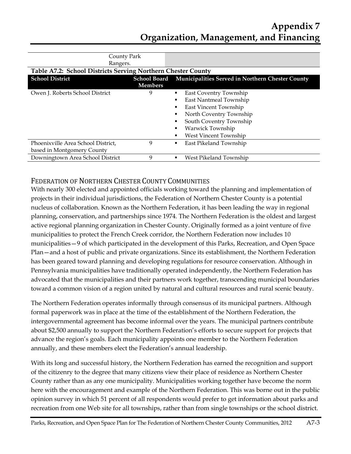| County Park                                                  |                |                                                               |
|--------------------------------------------------------------|----------------|---------------------------------------------------------------|
| Rangers.                                                     |                |                                                               |
| Table A7.2: School Districts Serving Northern Chester County |                |                                                               |
| <b>School District</b>                                       |                | School Board Municipalities Served in Northern Chester County |
|                                                              | <b>Members</b> |                                                               |
| Owen J. Roberts School District                              | 9              | East Coventry Township<br>٠                                   |
|                                                              |                | East Nantmeal Township                                        |
|                                                              |                | East Vincent Township                                         |
|                                                              |                | North Coventry Township                                       |
|                                                              |                | South Coventry Township                                       |
|                                                              |                | Warwick Township                                              |
|                                                              |                | <b>West Vincent Township</b>                                  |
| Phoenixville Area School District,                           | 9              | East Pikeland Township<br>٠                                   |
| based in Montgomery County                                   |                |                                                               |
| Downingtown Area School District                             | 9              | West Pikeland Township<br>٠                                   |

## FEDERATION OF NORTHERN CHESTER COUNTY COMMUNITIES

With nearly 300 elected and appointed officials working toward the planning and implementation of projects in their individual jurisdictions, the Federation of Northern Chester County is a potential nucleus of collaboration. Known as the Northern Federation, it has been leading the way in regional planning, conservation, and partnerships since 1974. The Northern Federation is the oldest and largest active regional planning organization in Chester County. Originally formed as a joint venture of five municipalities to protect the French Creek corridor, the Northern Federation now includes 10 municipalities—9 of which participated in the development of this Parks, Recreation, and Open Space Plan—and a host of public and private organizations. Since its establishment, the Northern Federation has been geared toward planning and developing regulations for resource conservation. Although in Pennsylvania municipalities have traditionally operated independently, the Northern Federation has advocated that the municipalities and their partners work together, transcending municipal boundaries toward a common vision of a region united by natural and cultural resources and rural scenic beauty.

The Northern Federation operates informally through consensus of its municipal partners. Although formal paperwork was in place at the time of the establishment of the Northern Federation, the intergovernmental agreement has become informal over the years. The municipal partners contribute about \$2,500 annually to support the Northern Federation's efforts to secure support for projects that advance the region's goals. Each municipality appoints one member to the Northern Federation annually, and these members elect the Federation's annual leadership.

With its long and successful history, the Northern Federation has earned the recognition and support of the citizenry to the degree that many citizens view their place of residence as Northern Chester County rather than as any one municipality. Municipalities working together have become the norm here with the encouragement and example of the Northern Federation. This was borne out in the public opinion survey in which 51 percent of all respondents would prefer to get information about parks and recreation from one Web site for all townships, rather than from single townships or the school district.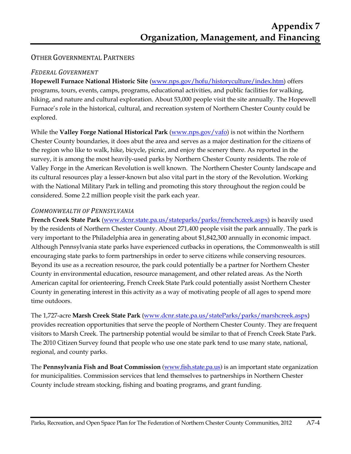## OTHER GOVERNMENTAL PARTNERS

#### *FEDERAL GOVERNMENT*

**Hopewell Furnace National Historic Site** (www.nps.gov/hofu/historyculture/index.htm) offers programs, tours, events, camps, programs, educational activities, and public facilities for walking, hiking, and nature and cultural exploration. About 53,000 people visit the site annually. The Hopewell Furnace's role in the historical, cultural, and recreation system of Northern Chester County could be explored.

While the **Valley Forge National Historical Park** (www.nps.gov/vafo) is not within the Northern Chester County boundaries, it does abut the area and serves as a major destination for the citizens of the region who like to walk, hike, bicycle, picnic, and enjoy the scenery there. As reported in the survey, it is among the most heavily-used parks by Northern Chester County residents. The role of Valley Forge in the American Revolution is well known. The Northern Chester County landscape and its cultural resources play a lesser-known but also vital part in the story of the Revolution. Working with the National Military Park in telling and promoting this story throughout the region could be considered. Some 2.2 million people visit the park each year.

#### *COMMONWEALTH OF PENNSYLVANIA*

**French Creek State Park** (www.dcnr.state.pa.us/stateparks/parks/frenchcreek.aspx) is heavily used by the residents of Northern Chester County. About 271,400 people visit the park annually. The park is very important to the Philadelphia area in generating about \$1,842,300 annually in economic impact. Although Pennsylvania state parks have experienced cutbacks in operations, the Commonwealth is still encouraging state parks to form partnerships in order to serve citizens while conserving resources. Beyond its use as a recreation resource, the park could potentially be a partner for Northern Chester County in environmental education, resource management, and other related areas. As the North American capital for orienteering, French Creek State Park could potentially assist Northern Chester County in generating interest in this activity as a way of motivating people of all ages to spend more time outdoors.

The 1,727-acre **Marsh Creek State Park** (www.dcnr.state.pa.us/stateParks/parks/marshcreek.aspx) provides recreation opportunities that serve the people of Northern Chester County. They are frequent visitors to Marsh Creek. The partnership potential would be similar to that of French Creek State Park. The 2010 Citizen Survey found that people who use one state park tend to use many state, national, regional, and county parks.

The **Pennsylvania Fish and Boat Commission** (www.fish.state.pa.us) is an important state organization for municipalities. Commission services that lend themselves to partnerships in Northern Chester County include stream stocking, fishing and boating programs, and grant funding.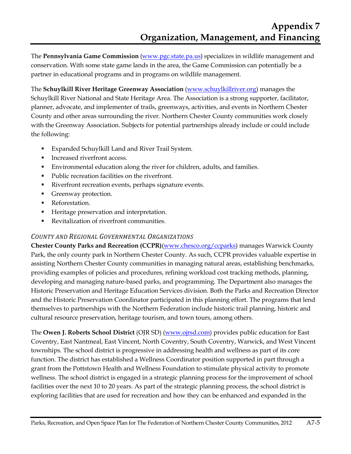The **Pennsylvania Game Commission** (www.pgc.state.pa.us) specializes in wildlife management and conservation. With some state game lands in the area, the Game Commission can potentially be a partner in educational programs and in programs on wildlife management.

The **Schuylkill River Heritage Greenway Association** (www.schuylkillriver.org) manages the Schuylkill River National and State Heritage Area. The Association is a strong supporter, facilitator, planner, advocate, and implementer of trails, greenways, activities, and events in Northern Chester County and other areas surrounding the river. Northern Chester County communities work closely with the Greenway Association. Subjects for potential partnerships already include or could include the following:

- Expanded Schuylkill Land and River Trail System.
- Increased riverfront access.
- Environmental education along the river for children, adults, and families.
- Public recreation facilities on the riverfront.
- Riverfront recreation events, perhaps signature events.
- Greenway protection.
- Reforestation.
- Heritage preservation and interpretation.
- Revitalization of riverfront communities.

## *COUNTY AND REGIONAL GOVERNMENTAL ORGANIZATIONS*

**Chester County Parks and Recreation (CCPR)**(www.chesco.org/ccparks) manages Warwick County Park, the only county park in Northern Chester County. As such, CCPR provides valuable expertise in assisting Northern Chester County communities in managing natural areas, establishing benchmarks, providing examples of policies and procedures, refining workload cost tracking methods, planning, developing and managing nature-based parks, and programming. The Department also manages the Historic Preservation and Heritage Education Services division. Both the Parks and Recreation Director and the Historic Preservation Coordinator participated in this planning effort. The programs that lend themselves to partnerships with the Northern Federation include historic trail planning, historic and cultural resource preservation, heritage tourism, and town tours, among others.

The **Owen J. Roberts School District** (OJR SD) (www.ojrsd.com) provides public education for East Coventry, East Nantmeal, East Vincent, North Coventry, South Coventry, Warwick, and West Vincent townships. The school district is progressive in addressing health and wellness as part of its core function. The district has established a Wellness Coordinator position supported in part through a grant from the Pottstown Health and Wellness Foundation to stimulate physical activity to promote wellness. The school district is engaged in a strategic planning process for the improvement of school facilities over the next 10 to 20 years. As part of the strategic planning process, the school district is exploring facilities that are used for recreation and how they can be enhanced and expanded in the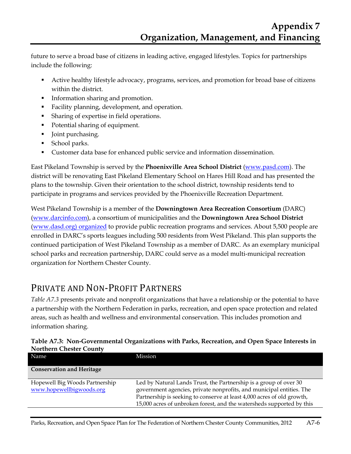future to serve a broad base of citizens in leading active, engaged lifestyles. Topics for partnerships include the following:

- Active healthy lifestyle advocacy, programs, services, and promotion for broad base of citizens within the district.
- Information sharing and promotion.
- Facility planning, development, and operation.
- **Sharing of expertise in field operations.**
- Potential sharing of equipment.
- Joint purchasing.
- School parks.
- Customer data base for enhanced public service and information dissemination.

East Pikeland Township is served by the **Phoenixville Area School District** (www.pasd.com). The district will be renovating East Pikeland Elementary School on Hares Hill Road and has presented the plans to the township. Given their orientation to the school district, township residents tend to participate in programs and services provided by the Phoenixville Recreation Department.

West Pikeland Township is a member of the **Downingtown Area Recreation Consortium** (DARC) (www.darcinfo.com), a consortium of municipalities and the **Downingtown Area School District** (www.dasd.org) organized to provide public recreation programs and services. About 5,500 people are enrolled in DARC's sports leagues including 500 residents from West Pikeland. This plan supports the continued participation of West Pikeland Township as a member of DARC. As an exemplary municipal school parks and recreation partnership, DARC could serve as a model multi-municipal recreation organization for Northern Chester County.

## PRIVATE AND NON-PROFIT PARTNERS

*Table A7.3* presents private and nonprofit organizations that have a relationship or the potential to have a partnership with the Northern Federation in parks, recreation, and open space protection and related areas, such as health and wellness and environmental conservation. This includes promotion and information sharing.

| Name                                                       | Mission                                                                                                                                                                                                                                                                                      |
|------------------------------------------------------------|----------------------------------------------------------------------------------------------------------------------------------------------------------------------------------------------------------------------------------------------------------------------------------------------|
| <b>Conservation and Heritage</b>                           |                                                                                                                                                                                                                                                                                              |
| Hopewell Big Woods Partnership<br>www.hopewellbigwoods.org | Led by Natural Lands Trust, the Partnership is a group of over 30<br>government agencies, private nonprofits, and municipal entities. The<br>Partnership is seeking to conserve at least 4,000 acres of old growth,<br>15,000 acres of unbroken forest, and the watersheds supported by this |

#### **Table A7.3: Non-Governmental Organizations with Parks, Recreation, and Open Space Interests in Northern Chester County**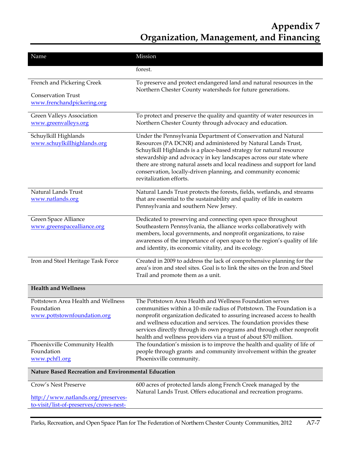| Name                                                | Mission                                                                                                                                            |
|-----------------------------------------------------|----------------------------------------------------------------------------------------------------------------------------------------------------|
|                                                     | forest.                                                                                                                                            |
|                                                     |                                                                                                                                                    |
| French and Pickering Creek                          | To preserve and protect endangered land and natural resources in the                                                                               |
| <b>Conservation Trust</b>                           | Northern Chester County watersheds for future generations.                                                                                         |
| www.frenchandpickering.org                          |                                                                                                                                                    |
| Green Valleys Association                           | To protect and preserve the quality and quantity of water resources in                                                                             |
| www.greenvalleys.org                                | Northern Chester County through advocacy and education.                                                                                            |
|                                                     |                                                                                                                                                    |
| Schuylkill Highlands<br>www.schuylkillhighlands.org | Under the Pennsylvania Department of Conservation and Natural<br>Resources (PA DCNR) and administered by Natural Lands Trust,                      |
|                                                     | Schuylkill Highlands is a place-based strategy for natural resource                                                                                |
|                                                     | stewardship and advocacy in key landscapes across our state where                                                                                  |
|                                                     | there are strong natural assets and local readiness and support for land<br>conservation, locally-driven planning, and community economic          |
|                                                     | revitalization efforts.                                                                                                                            |
|                                                     |                                                                                                                                                    |
| Natural Lands Trust<br>www.natlands.org             | Natural Lands Trust protects the forests, fields, wetlands, and streams<br>that are essential to the sustainability and quality of life in eastern |
|                                                     | Pennsylvania and southern New Jersey.                                                                                                              |
|                                                     |                                                                                                                                                    |
| Green Space Alliance<br>www.greenspacealliance.org  | Dedicated to preserving and connecting open space throughout<br>Southeastern Pennsylvania, the alliance works collaboratively with                 |
|                                                     | members, local governments, and nonprofit organizations, to raise                                                                                  |
|                                                     | awareness of the importance of open space to the region's quality of life                                                                          |
|                                                     | and identity, its economic vitality, and its ecology.                                                                                              |
| Iron and Steel Heritage Task Force                  | Created in 2009 to address the lack of comprehensive planning for the                                                                              |
|                                                     | area's iron and steel sites. Goal is to link the sites on the Iron and Steel                                                                       |
|                                                     | Trail and promote them as a unit.                                                                                                                  |
| <b>Health and Wellness</b>                          |                                                                                                                                                    |
| Pottstown Area Health and Wellness                  | The Pottstown Area Health and Wellness Foundation serves                                                                                           |
| Foundation                                          | communities within a 10-mile radius of Pottstown. The Foundation is a                                                                              |
| www.pottstownfoundation.org                         | nonprofit organization dedicated to assuring increased access to health<br>and wellness education and services. The foundation provides these      |
|                                                     | services directly through its own programs and through other nonprofit                                                                             |
|                                                     | health and wellness providers via a trust of about \$70 million.                                                                                   |
| Phoenixville Community Health<br>Foundation         | The foundation's mission is to improve the health and quality of life of                                                                           |
| www.pchf1.org                                       | people through grants and community involvement within the greater<br>Phoenixville community.                                                      |
|                                                     |                                                                                                                                                    |
| Nature Based Recreation and Environmental Education |                                                                                                                                                    |
| Crow's Nest Preserve                                | 600 acres of protected lands along French Creek managed by the                                                                                     |
| http://www.natlands.org/preserves-                  | Natural Lands Trust. Offers educational and recreation programs.                                                                                   |
| to-visit/list-of-preserves/crows-nest-              |                                                                                                                                                    |
|                                                     |                                                                                                                                                    |

Parks, Recreation, and Open Space Plan for The Federation of Northern Chester County Communities, 2012 A7-7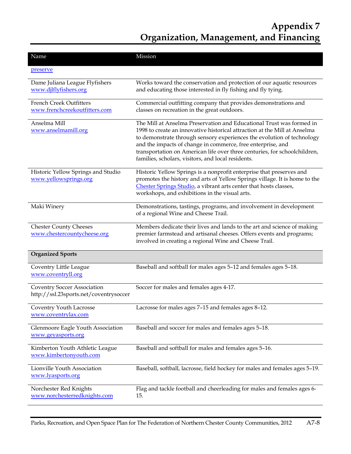| Name                                                                         | Mission                                                                                                                                                                                                                                                                                                                                                                                                                       |
|------------------------------------------------------------------------------|-------------------------------------------------------------------------------------------------------------------------------------------------------------------------------------------------------------------------------------------------------------------------------------------------------------------------------------------------------------------------------------------------------------------------------|
| preserve                                                                     |                                                                                                                                                                                                                                                                                                                                                                                                                               |
| Dame Juliana League Flyfishers<br>www.djlflyfishers.org                      | Works toward the conservation and protection of our aquatic resources<br>and educating those interested in fly fishing and fly tying.                                                                                                                                                                                                                                                                                         |
| <b>French Creek Outfitters</b><br>www.frenchcreekoutfitters.com              | Commercial outfitting company that provides demonstrations and<br>classes on recreation in the great outdoors.                                                                                                                                                                                                                                                                                                                |
| Anselma Mill<br>www.anselmamill.org                                          | The Mill at Anselma Preservation and Educational Trust was formed in<br>1998 to create an innovative historical attraction at the Mill at Anselma<br>to demonstrate through sensory experiences the evolution of technology<br>and the impacts of change in commerce, free enterprise, and<br>transportation on American life over three centuries, for schoolchildren,<br>families, scholars, visitors, and local residents. |
| Historic Yellow Springs and Studio<br>www.yellowsprings.org                  | Historic Yellow Springs is a nonprofit enterprise that preserves and<br>promotes the history and arts of Yellow Springs village. It is home to the<br>Chester Springs Studio, a vibrant arts center that hosts classes,<br>workshops, and exhibitions in the visual arts.                                                                                                                                                     |
| Maki Winery                                                                  | Demonstrations, tastings, programs, and involvement in development<br>of a regional Wine and Cheese Trail.                                                                                                                                                                                                                                                                                                                    |
| <b>Chester County Cheeses</b><br>www.chestercountycheese.org                 | Members dedicate their lives and lands to the art and science of making<br>premier farmstead and artisanal cheeses. Offers events and programs;<br>involved in creating a regional Wine and Cheese Trail.                                                                                                                                                                                                                     |
| <b>Organized Sports</b>                                                      |                                                                                                                                                                                                                                                                                                                                                                                                                               |
| Coventry Little League<br>www.coventryll.org                                 | Baseball and softball for males ages 5-12 and females ages 5-18.                                                                                                                                                                                                                                                                                                                                                              |
| <b>Coventry Soccer Association</b><br>http://ssl.23sports.net/coventrysoccer | Soccer for males and females ages 4-17.                                                                                                                                                                                                                                                                                                                                                                                       |
| Coventry Youth Lacrosse<br>www.coventrylax.com                               | Lacrosse for males ages 7-15 and females ages 8-12.                                                                                                                                                                                                                                                                                                                                                                           |
| Glenmoore Eagle Youth Association<br>www.geyasports.org                      | Baseball and soccer for males and females ages 5-18.                                                                                                                                                                                                                                                                                                                                                                          |
| Kimberton Youth Athletic League<br>www.kimbertonyouth.com                    | Baseball and softball for males and females ages 5-16.                                                                                                                                                                                                                                                                                                                                                                        |
| Lionville Youth Association<br>www.lyasports.org                             | Baseball, softball, lacrosse, field hockey for males and females ages 5-19.                                                                                                                                                                                                                                                                                                                                                   |
| Norchester Red Knights<br>www.norchesterredknights.com                       | Flag and tackle football and cheerleading for males and females ages 6-<br>15.                                                                                                                                                                                                                                                                                                                                                |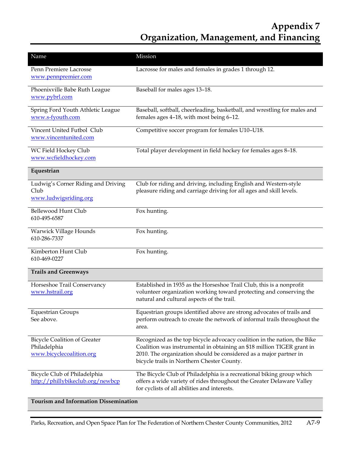| Name                                                                            | Mission                                                                                                                                                                                                                                                               |
|---------------------------------------------------------------------------------|-----------------------------------------------------------------------------------------------------------------------------------------------------------------------------------------------------------------------------------------------------------------------|
| Penn Premiere Lacrosse<br>www.pennpremier.com                                   | Lacrosse for males and females in grades 1 through 12.                                                                                                                                                                                                                |
| Phoenixville Babe Ruth League<br>www.pybrl.com                                  | Baseball for males ages 13-18.                                                                                                                                                                                                                                        |
| Spring Ford Youth Athletic League<br>www.s-fyouth.com                           | Baseball, softball, cheerleading, basketball, and wrestling for males and<br>females ages 4-18, with most being 6-12.                                                                                                                                                 |
| Vincent United Futbol Club<br>www.vincentunited.com                             | Competitive soccer program for females U10-U18.                                                                                                                                                                                                                       |
| WC Field Hockey Club<br>www.wcfieldhockey.com                                   | Total player development in field hockey for females ages 8-18.                                                                                                                                                                                                       |
| Equestrian                                                                      |                                                                                                                                                                                                                                                                       |
| Ludwig's Corner Riding and Driving<br>Club<br>www.ludwigsriding.org             | Club for riding and driving, including English and Western-style<br>pleasure riding and carriage driving for all ages and skill levels.                                                                                                                               |
| Bellewood Hunt Club<br>610-495-6587                                             | Fox hunting.                                                                                                                                                                                                                                                          |
| Warwick Village Hounds<br>610-286-7337                                          | Fox hunting.                                                                                                                                                                                                                                                          |
| Kimberton Hunt Club<br>610-469-0227                                             | Fox hunting.                                                                                                                                                                                                                                                          |
| <b>Trails and Greenways</b>                                                     |                                                                                                                                                                                                                                                                       |
| Horseshoe Trail Conservancy<br>www.hstrail.org                                  | Established in 1935 as the Horseshoe Trail Club, this is a nonprofit<br>volunteer organization working toward protecting and conserving the<br>natural and cultural aspects of the trail.                                                                             |
| <b>Equestrian Groups</b><br>See above.                                          | Equestrian groups identified above are strong advocates of trails and<br>perform outreach to create the network of informal trails throughout the<br>area.                                                                                                            |
| <b>Bicycle Coalition of Greater</b><br>Philadelphia<br>www.bicyclecoalition.org | Recognized as the top bicycle advocacy coalition in the nation, the Bike<br>Coalition was instrumental in obtaining an \$18 million TIGER grant in<br>2010. The organization should be considered as a major partner in<br>bicycle trails in Northern Chester County. |
| Bicycle Club of Philadelphia<br>http://phillybikeclub.org/newbcp                | The Bicycle Club of Philadelphia is a recreational biking group which<br>offers a wide variety of rides throughout the Greater Delaware Valley<br>for cyclists of all abilities and interests.                                                                        |

**Tourism and Information Dissemination**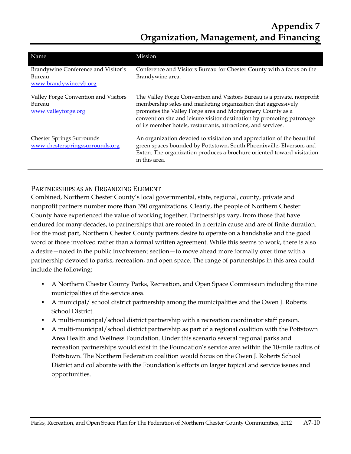| Name                                                                   | <b>Mission</b>                                                                                                                                                                                                                                                                                                                                   |
|------------------------------------------------------------------------|--------------------------------------------------------------------------------------------------------------------------------------------------------------------------------------------------------------------------------------------------------------------------------------------------------------------------------------------------|
| Brandywine Conference and Visitor's<br>Bureau<br>www.brandywinecvb.org | Conference and Visitors Bureau for Chester County with a focus on the<br>Brandywine area.                                                                                                                                                                                                                                                        |
| Valley Forge Convention and Visitors<br>Bureau<br>www.valleyforge.org  | The Valley Forge Convention and Visitors Bureau is a private, nonprofit<br>membership sales and marketing organization that aggressively<br>promotes the Valley Forge area and Montgomery County as a<br>convention site and leisure visitor destination by promoting patronage<br>of its member hotels, restaurants, attractions, and services. |
| <b>Chester Springs Surrounds</b><br>www.chesterspringssurrounds.org    | An organization devoted to visitation and appreciation of the beautiful<br>green spaces bounded by Pottstown, South Phoenixville, Elverson, and<br>Exton. The organization produces a brochure oriented toward visitation<br>in this area.                                                                                                       |

### PARTNERSHIPS AS AN ORGANIZING ELEMENT

Combined, Northern Chester County's local governmental, state, regional, county, private and nonprofit partners number more than 350 organizations. Clearly, the people of Northern Chester County have experienced the value of working together. Partnerships vary, from those that have endured for many decades, to partnerships that are rooted in a certain cause and are of finite duration. For the most part, Northern Chester County partners desire to operate on a handshake and the good word of those involved rather than a formal written agreement. While this seems to work, there is also a desire—noted in the public involvement section—to move ahead more formally over time with a partnership devoted to parks, recreation, and open space. The range of partnerships in this area could include the following:

- A Northern Chester County Parks, Recreation, and Open Space Commission including the nine municipalities of the service area.
- A municipal/ school district partnership among the municipalities and the Owen J. Roberts School District.
- A multi-municipal/school district partnership with a recreation coordinator staff person.
- A multi-municipal/school district partnership as part of a regional coalition with the Pottstown Area Health and Wellness Foundation. Under this scenario several regional parks and recreation partnerships would exist in the Foundation's service area within the 10-mile radius of Pottstown. The Northern Federation coalition would focus on the Owen J. Roberts School District and collaborate with the Foundation's efforts on larger topical and service issues and opportunities.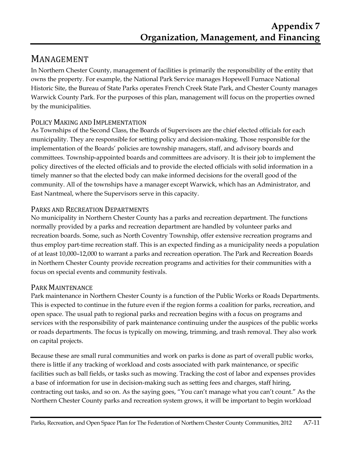## MANAGEMENT

In Northern Chester County, management of facilities is primarily the responsibility of the entity that owns the property. For example, the National Park Service manages Hopewell Furnace National Historic Site, the Bureau of State Parks operates French Creek State Park, and Chester County manages Warwick County Park. For the purposes of this plan, management will focus on the properties owned by the municipalities.

## POLICY MAKING AND IMPLEMENTATION

As Townships of the Second Class, the Boards of Supervisors are the chief elected officials for each municipality. They are responsible for setting policy and decision-making. Those responsible for the implementation of the Boards' policies are township managers, staff, and advisory boards and committees. Township-appointed boards and committees are advisory. It is their job to implement the policy directives of the elected officials and to provide the elected officials with solid information in a timely manner so that the elected body can make informed decisions for the overall good of the community. All of the townships have a manager except Warwick, which has an Administrator, and East Nantmeal, where the Supervisors serve in this capacity.

## PARKS AND RECREATION DEPARTMENTS

No municipality in Northern Chester County has a parks and recreation department. The functions normally provided by a parks and recreation department are handled by volunteer parks and recreation boards. Some, such as North Coventry Township, offer extensive recreation programs and thus employ part-time recreation staff. This is an expected finding as a municipality needs a population of at least 10,000–12,000 to warrant a parks and recreation operation. The Park and Recreation Boards in Northern Chester County provide recreation programs and activities for their communities with a focus on special events and community festivals.

## PARK MAINTENANCE

Park maintenance in Northern Chester County is a function of the Public Works or Roads Departments. This is expected to continue in the future even if the region forms a coalition for parks, recreation, and open space. The usual path to regional parks and recreation begins with a focus on programs and services with the responsibility of park maintenance continuing under the auspices of the public works or roads departments. The focus is typically on mowing, trimming, and trash removal. They also work on capital projects.

Because these are small rural communities and work on parks is done as part of overall public works, there is little if any tracking of workload and costs associated with park maintenance, or specific facilities such as ball fields, or tasks such as mowing. Tracking the cost of labor and expenses provides a base of information for use in decision-making such as setting fees and charges, staff hiring, contracting out tasks, and so on. As the saying goes, "You can't manage what you can't count." As the Northern Chester County parks and recreation system grows, it will be important to begin workload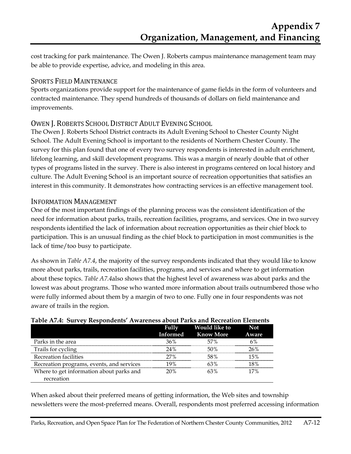cost tracking for park maintenance. The Owen J. Roberts campus maintenance management team may be able to provide expertise, advice, and modeling in this area.

### SPORTS FIELD MAINTENANCE

Sports organizations provide support for the maintenance of game fields in the form of volunteers and contracted maintenance. They spend hundreds of thousands of dollars on field maintenance and improvements.

### OWEN J. ROBERTS SCHOOL DISTRICT ADULT EVENING SCHOOL

The Owen J. Roberts School District contracts its Adult Evening School to Chester County Night School. The Adult Evening School is important to the residents of Northern Chester County. The survey for this plan found that one of every two survey respondents is interested in adult enrichment, lifelong learning, and skill development programs. This was a margin of nearly double that of other types of programs listed in the survey. There is also interest in programs centered on local history and culture. The Adult Evening School is an important source of recreation opportunities that satisfies an interest in this community. It demonstrates how contracting services is an effective management tool.

#### INFORMATION MANAGEMENT

One of the most important findings of the planning process was the consistent identification of the need for information about parks, trails, recreation facilities, programs, and services. One in two survey respondents identified the lack of information about recreation opportunities as their chief block to participation. This is an unusual finding as the chief block to participation in most communities is the lack of time/too busy to participate.

As shown in *Table A7.4*, the majority of the survey respondents indicated that they would like to know more about parks, trails, recreation facilities, programs, and services and where to get information about these topics. *Table A7.4*also shows that the highest level of awareness was about parks and the lowest was about programs. Those who wanted more information about trails outnumbered those who were fully informed about them by a margin of two to one. Fully one in four respondents was not aware of trails in the region.

|                                           | <b>Fully</b><br>Informed | <b>Would like to</b><br><b>Know More</b> | <b>Not</b><br>Aware |
|-------------------------------------------|--------------------------|------------------------------------------|---------------------|
| Parks in the area                         | 36%                      | 57%                                      | 6%                  |
| Trails for cycling                        | 24%                      | 50%                                      | 26%                 |
| Recreation facilities                     | $27\%$                   | 58%                                      | 15%                 |
| Recreation programs, events, and services | 19%                      | 63%                                      | 18%                 |
| Where to get information about parks and  | 20%                      | 63%                                      | 17%                 |
| recreation                                |                          |                                          |                     |

#### **Table A7.4: Survey Respondents' Awareness about Parks and Recreation Elements**

When asked about their preferred means of getting information, the Web sites and township newsletters were the most-preferred means. Overall, respondents most preferred accessing information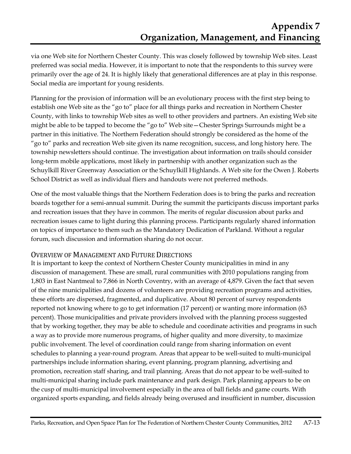via one Web site for Northern Chester County. This was closely followed by township Web sites. Least preferred was social media. However, it is important to note that the respondents to this survey were primarily over the age of 24. It is highly likely that generational differences are at play in this response. Social media are important for young residents.

Planning for the provision of information will be an evolutionary process with the first step being to establish one Web site as the "go to" place for all things parks and recreation in Northern Chester County, with links to township Web sites as well to other providers and partners. An existing Web site might be able to be tapped to become the "go to" Web site—Chester Springs Surrounds might be a partner in this initiative. The Northern Federation should strongly be considered as the home of the "go to" parks and recreation Web site given its name recognition, success, and long history here. The township newsletters should continue. The investigation about information on trails should consider long-term mobile applications, most likely in partnership with another organization such as the Schuylkill River Greenway Association or the Schuylkill Highlands. A Web site for the Owen J. Roberts School District as well as individual fliers and handouts were not preferred methods.

One of the most valuable things that the Northern Federation does is to bring the parks and recreation boards together for a semi-annual summit. During the summit the participants discuss important parks and recreation issues that they have in common. The merits of regular discussion about parks and recreation issues came to light during this planning process. Participants regularly shared information on topics of importance to them such as the Mandatory Dedication of Parkland. Without a regular forum, such discussion and information sharing do not occur.

#### OVERVIEW OF MANAGEMENT AND FUTURE DIRECTIONS

It is important to keep the context of Northern Chester County municipalities in mind in any discussion of management. These are small, rural communities with 2010 populations ranging from 1,803 in East Nantmeal to 7,866 in North Coventry, with an average of 4,879. Given the fact that seven of the nine municipalities and dozens of volunteers are providing recreation programs and activities, these efforts are dispersed, fragmented, and duplicative. About 80 percent of survey respondents reported not knowing where to go to get information (17 percent) or wanting more information (63 percent). Those municipalities and private providers involved with the planning process suggested that by working together, they may be able to schedule and coordinate activities and programs in such a way as to provide more numerous programs, of higher quality and more diversity, to maximize public involvement. The level of coordination could range from sharing information on event schedules to planning a year-round program. Areas that appear to be well-suited to multi-municipal partnerships include information sharing, event planning, program planning, advertising and promotion, recreation staff sharing, and trail planning. Areas that do not appear to be well-suited to multi-municipal sharing include park maintenance and park design. Park planning appears to be on the cusp of multi-municipal involvement especially in the area of ball fields and game courts. With organized sports expanding, and fields already being overused and insufficient in number, discussion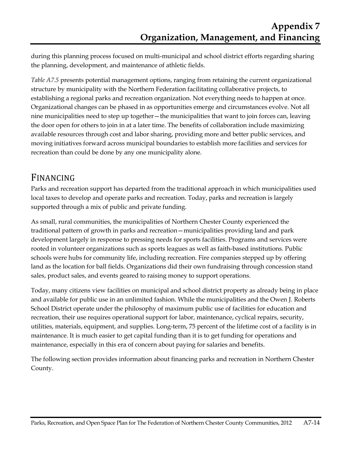during this planning process focused on multi-municipal and school district efforts regarding sharing the planning, development, and maintenance of athletic fields.

*Table A7.5* presents potential management options, ranging from retaining the current organizational structure by municipality with the Northern Federation facilitating collaborative projects, to establishing a regional parks and recreation organization. Not everything needs to happen at once. Organizational changes can be phased in as opportunities emerge and circumstances evolve. Not all nine municipalities need to step up together—the municipalities that want to join forces can, leaving the door open for others to join in at a later time. The benefits of collaboration include maximizing available resources through cost and labor sharing, providing more and better public services, and moving initiatives forward across municipal boundaries to establish more facilities and services for recreation than could be done by any one municipality alone.

## FINANCING

Parks and recreation support has departed from the traditional approach in which municipalities used local taxes to develop and operate parks and recreation. Today, parks and recreation is largely supported through a mix of public and private funding.

As small, rural communities, the municipalities of Northern Chester County experienced the traditional pattern of growth in parks and recreation—municipalities providing land and park development largely in response to pressing needs for sports facilities. Programs and services were rooted in volunteer organizations such as sports leagues as well as faith-based institutions. Public schools were hubs for community life, including recreation. Fire companies stepped up by offering land as the location for ball fields. Organizations did their own fundraising through concession stand sales, product sales, and events geared to raising money to support operations.

Today, many citizens view facilities on municipal and school district property as already being in place and available for public use in an unlimited fashion. While the municipalities and the Owen J. Roberts School District operate under the philosophy of maximum public use of facilities for education and recreation, their use requires operational support for labor, maintenance, cyclical repairs, security, utilities, materials, equipment, and supplies. Long-term, 75 percent of the lifetime cost of a facility is in maintenance. It is much easier to get capital funding than it is to get funding for operations and maintenance, especially in this era of concern about paying for salaries and benefits.

The following section provides information about financing parks and recreation in Northern Chester County.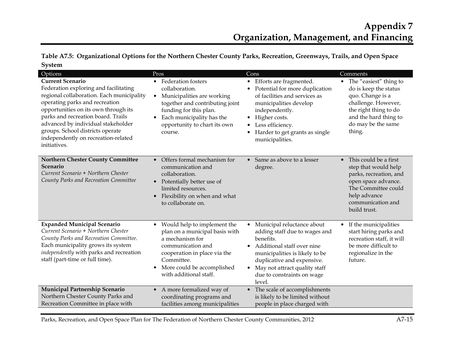**Table A7.5: Organizational Options for the Northern Chester County Parks, Recreation, Greenways, Trails, and Open Space System** 

| Options                                                                                                                                                                                                                                                                                                                                                        | Pros                                                                                                                                                                                                                                  | Cons                                                                                                                                                                                                                                                             | Comments                                                                                                                                                                       |
|----------------------------------------------------------------------------------------------------------------------------------------------------------------------------------------------------------------------------------------------------------------------------------------------------------------------------------------------------------------|---------------------------------------------------------------------------------------------------------------------------------------------------------------------------------------------------------------------------------------|------------------------------------------------------------------------------------------------------------------------------------------------------------------------------------------------------------------------------------------------------------------|--------------------------------------------------------------------------------------------------------------------------------------------------------------------------------|
| <b>Current Scenario</b><br>Federation exploring and facilitating<br>regional collaboration. Each municipality<br>operating parks and recreation<br>opportunities on its own through its<br>parks and recreation board. Trails<br>advanced by individual stakeholder<br>groups. School districts operate<br>independently on recreation-related<br>initiatives. | • Federation fosters<br>collaboration.<br>Municipalities are working<br>$\bullet$<br>together and contributing joint<br>funding for this plan.<br>Each municipality has the<br>opportunity to chart its own<br>course.                | • Efforts are fragmented.<br>• Potential for more duplication<br>of facilities and services as<br>municipalities develop<br>independently.<br>• Higher costs.<br>Less efficiency.<br>$\bullet$<br>Harder to get grants as single<br>municipalities.              | • The "easiest" thing to<br>do is keep the status<br>quo. Change is a<br>challenge. However,<br>the right thing to do<br>and the hard thing to<br>do may be the same<br>thing. |
| <b>Northern Chester County Committee</b><br>Scenario<br>Current Scenario + Northern Chester<br>County Parks and Recreation Committee                                                                                                                                                                                                                           | Offers formal mechanism for<br>$\bullet$<br>communication and<br>collaboration.<br>Potentially better use of<br>$\bullet$<br>limited resources.<br>Flexibility on when and what<br>$\bullet$<br>to collaborate on.                    | Same as above to a lesser<br>$\bullet$<br>degree.                                                                                                                                                                                                                | • This could be a first<br>step that would help<br>parks, recreation, and<br>open space advance.<br>The Committee could<br>help advance<br>communication and<br>build trust.   |
| <b>Expanded Municipal Scenario</b><br>Current Scenario + Northern Chester<br>County Parks and Recreation Committee.<br>Each municipality grows its system<br>independently with parks and recreation<br>staff (part-time or full time).                                                                                                                        | Would help to implement the<br>$\bullet$<br>plan on a municipal basis with<br>a mechanism for<br>communication and<br>cooperation in place via the<br>Committee.<br>More could be accomplished<br>$\bullet$<br>with additional staff. | • Municipal reluctance about<br>adding staff due to wages and<br>benefits.<br>• Additional staff over nine<br>municipalities is likely to be<br>duplicative and expensive.<br>May not attract quality staff<br>$\bullet$<br>due to constraints on wage<br>level. | If the municipalities<br>$\bullet$<br>start hiring parks and<br>recreation staff, it will<br>be more difficult to<br>regionalize in the<br>future.                             |
| Municipal Partnership Scenario<br>Northern Chester County Parks and<br>Recreation Committee in place with                                                                                                                                                                                                                                                      | A more formalized way of<br>$\bullet$<br>coordinating programs and<br>facilities among municipalities                                                                                                                                 | • The scale of accomplishments<br>is likely to be limited without<br>people in place charged with                                                                                                                                                                |                                                                                                                                                                                |

Parks, Recreation, and Open Space Plan for The Federation of Northern Chester County Communities, 2012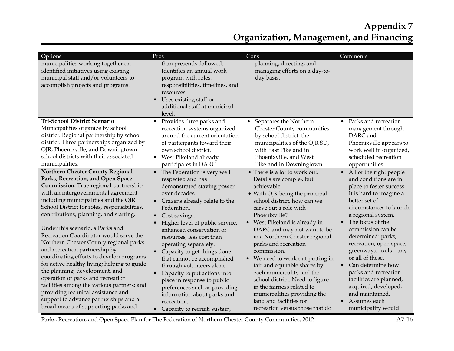| Options                                                                                                                                                                                                                                                                                                                                                                                                                                                                                                                                                                                                                                                                                                                                                                                       | Pros                                                                                                                                                                                                                                                                                                                                                                                                                                                                                                                                                                     | Cons                                                                                                                                                                                                                                                                                                                                                                                                                                                                                                                                                                                      | Comments                                                                                                                                                                                                                                                                                                                                                                                                                                                                    |
|-----------------------------------------------------------------------------------------------------------------------------------------------------------------------------------------------------------------------------------------------------------------------------------------------------------------------------------------------------------------------------------------------------------------------------------------------------------------------------------------------------------------------------------------------------------------------------------------------------------------------------------------------------------------------------------------------------------------------------------------------------------------------------------------------|--------------------------------------------------------------------------------------------------------------------------------------------------------------------------------------------------------------------------------------------------------------------------------------------------------------------------------------------------------------------------------------------------------------------------------------------------------------------------------------------------------------------------------------------------------------------------|-------------------------------------------------------------------------------------------------------------------------------------------------------------------------------------------------------------------------------------------------------------------------------------------------------------------------------------------------------------------------------------------------------------------------------------------------------------------------------------------------------------------------------------------------------------------------------------------|-----------------------------------------------------------------------------------------------------------------------------------------------------------------------------------------------------------------------------------------------------------------------------------------------------------------------------------------------------------------------------------------------------------------------------------------------------------------------------|
| municipalities working together on<br>identified initiatives using existing<br>municipal staff and/or volunteers to<br>accomplish projects and programs.                                                                                                                                                                                                                                                                                                                                                                                                                                                                                                                                                                                                                                      | than presently followed.<br>Identifies an annual work<br>program with roles,<br>responsibilities, timelines, and<br>resources.<br>Uses existing staff or<br>$\bullet$<br>additional staff at municipal<br>level.                                                                                                                                                                                                                                                                                                                                                         | planning, directing, and<br>managing efforts on a day-to-<br>day basis.                                                                                                                                                                                                                                                                                                                                                                                                                                                                                                                   |                                                                                                                                                                                                                                                                                                                                                                                                                                                                             |
| Tri-School District Scenario<br>Municipalities organize by school<br>district. Regional partnership by school<br>district. Three partnerships organized by<br>OJR, Phoenixville, and Downingtown<br>school districts with their associated<br>municipalities.                                                                                                                                                                                                                                                                                                                                                                                                                                                                                                                                 | Provides three parks and<br>$\bullet$<br>recreation systems organized<br>around the current orientation<br>of participants toward their<br>own school district.<br>West Pikeland already<br>$\bullet$<br>participates in DARC.                                                                                                                                                                                                                                                                                                                                           | Separates the Northern<br>$\bullet$<br><b>Chester County communities</b><br>by school district: the<br>municipalities of the OJR SD,<br>with East Pikeland in<br>Phoenixville, and West<br>Pikeland in Downingtown.                                                                                                                                                                                                                                                                                                                                                                       | Parks and recreation<br>$\bullet$<br>management through<br>DARC and<br>Phoenixville appears to<br>work well in organized,<br>scheduled recreation<br>opportunities.                                                                                                                                                                                                                                                                                                         |
| <b>Northern Chester County Regional</b><br>Parks, Recreation, and Open Space<br>Commission. True regional partnership<br>with an intergovernmental agreement<br>including municipalities and the OJR<br>School District for roles, responsibilities,<br>contributions, planning, and staffing.<br>Under this scenario, a Parks and<br>Recreation Coordinator would serve the<br>Northern Chester County regional parks<br>and recreation partnership by<br>coordinating efforts to develop programs<br>for active healthy living; helping to guide<br>the planning, development, and<br>operation of parks and recreation<br>facilities among the various partners; and<br>providing technical assistance and<br>support to advance partnerships and a<br>broad means of supporting parks and | The Federation is very well<br>$\bullet$<br>respected and has<br>demonstrated staying power<br>over decades.<br>• Citizens already relate to the<br>Federation.<br>Cost savings.<br>Higher level of public service,<br>enhanced conservation of<br>resources, less cost than<br>operating separately.<br>Capacity to get things done<br>$\bullet$<br>that cannot be accomplished<br>through volunteers alone.<br>Capacity to put actions into<br>$\bullet$<br>place in response to public<br>preferences such as providing<br>information about parks and<br>recreation. | • There is a lot to work out.<br>Details are complex but<br>achievable.<br>• With OJR being the principal<br>school district, how can we<br>carve out a role with<br>Phoenixville?<br>West Pikeland is already in<br>DARC and may not want to be<br>in a Northern Chester regional<br>parks and recreation<br>commission.<br>• We need to work out putting in<br>fair and equitable shares by<br>each municipality and the<br>school district. Need to figure<br>in the fairness related to<br>municipalities providing the<br>land and facilities for<br>recreation versus those that do | • All of the right people<br>and conditions are in<br>place to foster success.<br>It is hard to imagine a<br>better set of<br>circumstances to launch<br>a regional system.<br>The focus of the<br>commission can be<br>determined: parks,<br>recreation, open space,<br>greenways, trails-any<br>or all of these.<br>Can determine how<br>parks and recreation<br>facilities are planned,<br>acquired, developed,<br>and maintained.<br>Assumes each<br>municipality would |

Parks, Recreation, and Open Space Plan for The Federation of Northern Chester County Communities, 2012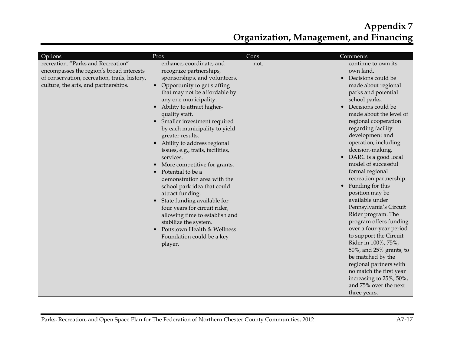| Options<br>recreation. "Parks and Recreation"<br>encompasses the region's broad interests<br>of conservation, recreation, trails, history,<br>culture, the arts, and partnerships.<br>$\bullet$ | Pros<br>enhance, coordinate, and<br>recognize partnerships,<br>sponsorships, and volunteers.<br>Opportunity to get staffing<br>that may not be affordable by<br>any one municipality.<br>Ability to attract higher-<br>$\bullet$<br>quality staff.<br>Smaller investment required<br>$\bullet$<br>by each municipality to yield<br>greater results.<br>Ability to address regional<br>issues, e.g., trails, facilities,<br>services.<br>More competitive for grants.<br>Potential to be a<br>$\bullet$<br>demonstration area with the<br>school park idea that could<br>attract funding.<br>State funding available for<br>$\bullet$<br>four years for circuit rider,<br>allowing time to establish and<br>stabilize the system.<br>Pottstown Health & Wellness<br>Foundation could be a key<br>player. | Cons<br>not. | Comments<br>continue to own its<br>own land.<br>Decisions could be<br>$\bullet$<br>made about regional<br>parks and potential<br>school parks.<br>Decisions could be<br>$\bullet$<br>made about the level of<br>regional cooperation<br>regarding facility<br>development and<br>operation, including<br>decision-making.<br>DARC is a good local<br>$\bullet$<br>model of successful<br>formal regional<br>recreation partnership.<br>Funding for this<br>$\bullet$<br>position may be<br>available under<br>Pennsylvania's Circuit<br>Rider program. The<br>program offers funding<br>over a four-year period<br>to support the Circuit<br>Rider in 100%, 75%,<br>50%, and 25% grants, to<br>be matched by the<br>regional partners with<br>no match the first year<br>increasing to 25%, 50%,<br>and 75% over the next<br>three years. |
|-------------------------------------------------------------------------------------------------------------------------------------------------------------------------------------------------|---------------------------------------------------------------------------------------------------------------------------------------------------------------------------------------------------------------------------------------------------------------------------------------------------------------------------------------------------------------------------------------------------------------------------------------------------------------------------------------------------------------------------------------------------------------------------------------------------------------------------------------------------------------------------------------------------------------------------------------------------------------------------------------------------------|--------------|-------------------------------------------------------------------------------------------------------------------------------------------------------------------------------------------------------------------------------------------------------------------------------------------------------------------------------------------------------------------------------------------------------------------------------------------------------------------------------------------------------------------------------------------------------------------------------------------------------------------------------------------------------------------------------------------------------------------------------------------------------------------------------------------------------------------------------------------|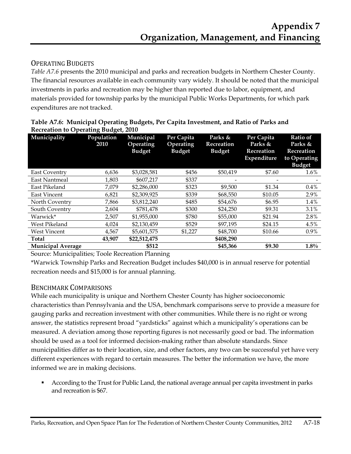## OPERATING BUDGETS

*Table A7.6* presents the 2010 municipal and parks and recreation budgets in Northern Chester County. The financial resources available in each community vary widely. It should be noted that the municipal investments in parks and recreation may be higher than reported due to labor, equipment, and materials provided for township parks by the municipal Public Works Departments, for which park expenditures are not tracked.

| Municipality             | Population<br>2010 | Municipal<br>Operating<br><b>Budget</b> | Per Capita<br>Operating<br><b>Budget</b> | Parks &<br>Recreation<br><b>Budget</b> | Per Capita<br>Parks &<br>Recreation<br>Expenditure | <b>Ratio of</b><br>Parks &<br>Recreation<br>to Operating<br><b>Budget</b> |
|--------------------------|--------------------|-----------------------------------------|------------------------------------------|----------------------------------------|----------------------------------------------------|---------------------------------------------------------------------------|
| East Coventry            | 6,636              | \$3,028,581                             | \$456                                    | \$50,419                               | \$7.60                                             | $1.6\%$                                                                   |
| East Nantmeal            | 1,803              | \$607,217                               | \$337                                    |                                        |                                                    |                                                                           |
| East Pikeland            | 7,079              | \$2,286,000                             | \$323                                    | \$9,500                                | \$1.34                                             | 0.4%                                                                      |
| <b>East Vincent</b>      | 6,821              | \$2,309,925                             | \$339                                    | \$68,550                               | \$10.05                                            | 2.9%                                                                      |
| North Coventry           | 7,866              | \$3,812,240                             | \$485                                    | \$54,676                               | \$6.95                                             | 1.4%                                                                      |
| South Coventry           | 2,604              | \$781,478                               | \$300                                    | \$24,250                               | \$9.31                                             | 3.1%                                                                      |
| Warwick*                 | 2,507              | \$1,955,000                             | \$780                                    | \$55,000                               | \$21.94                                            | 2.8%                                                                      |
| West Pikeland            | 4,024              | \$2,130,459                             | \$529                                    | \$97,195                               | \$24.15                                            | 4.5%                                                                      |
| <b>West Vincent</b>      | 4,567              | \$5,601,575                             | \$1,227                                  | \$48,700                               | \$10.66                                            | 0.9%                                                                      |
| Total                    | 43,907             | \$22,512,475                            |                                          | \$408,290                              |                                                    |                                                                           |
| <b>Municipal Average</b> |                    | \$512                                   |                                          | \$45,366                               | \$9.30                                             | $1.8\%$                                                                   |

|                                             | Table A7.6: Municipal Operating Budgets, Per Capita Investment, and Ratio of Parks and |
|---------------------------------------------|----------------------------------------------------------------------------------------|
| <b>Recreation to Operating Budget, 2010</b> |                                                                                        |

Source: Municipalities; Toole Recreation Planning

\*Warwick Township Parks and Recreation Budget includes \$40,000 is in annual reserve for potential recreation needs and \$15,000 is for annual planning.

#### BENCHMARK COMPARISONS

While each municipality is unique and Northern Chester County has higher socioeconomic characteristics than Pennsylvania and the USA, benchmark comparisons serve to provide a measure for gauging parks and recreation investment with other communities. While there is no right or wrong answer, the statistics represent broad "yardsticks" against which a municipality's operations can be measured. A deviation among those reporting figures is not necessarily good or bad. The information should be used as a tool for informed decision-making rather than absolute standards. Since municipalities differ as to their location, size, and other factors, any two can be successful yet have very different experiences with regard to certain measures. The better the information we have, the more informed we are in making decisions.

 According to the Trust for Public Land, the national average annual per capita investment in parks and recreation is \$67.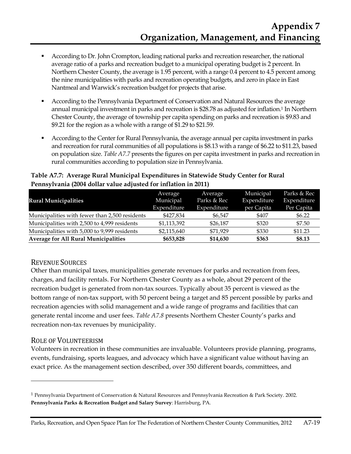- According to Dr. John Crompton, leading national parks and recreation researcher, the national average ratio of a parks and recreation budget to a municipal operating budget is 2 percent. In Northern Chester County, the average is 1.95 percent, with a range 0.4 percent to 4.5 percent among the nine municipalities with parks and recreation operating budgets, and zero in place in East Nantmeal and Warwick's recreation budget for projects that arise.
- According to the Pennsylvania Department of Conservation and Natural Resources the average annual municipal investment in parks and recreation is \$28.78 as adjusted for inflation.1 In Northern Chester County, the average of township per capita spending on parks and recreation is \$9.83 and \$9.21 for the region as a whole with a range of \$1.29 to \$21.59.
- According to the Center for Rural Pennsylvania, the average annual per capita investment in parks and recreation for rural communities of all populations is \$8.13 with a range of \$6.22 to \$11.23, based on population size. *Table A7.7* presents the figures on per capita investment in parks and recreation in rural communities according to population size in Pennsylvania.

|                                                | Average     | Average     | Municipal   | Parks & Rec |
|------------------------------------------------|-------------|-------------|-------------|-------------|
| <b>Rural Municipalities</b>                    | Municipal   | Parks & Rec | Expenditure | Expenditure |
|                                                | Expenditure | Expenditure | per Capita  | Per Capita  |
| Municipalities with fewer than 2,500 residents | \$427,834   | \$6,547     | \$407       | \$6.22      |
| Municipalities with 2,500 to 4,999 residents   | \$1,113,392 | \$26,187    | \$320       | \$7.50      |
| Municipalities with 5,000 to 9,999 residents   | \$2,115,640 | \$71,929    | \$330       | \$11.23     |
| <b>Average for All Rural Municipalities</b>    | \$653,828   | \$14,630    | \$363       | \$8.13      |

#### **Table A7.7: Average Rural Municipal Expenditures in Statewide Study Center for Rural Pennsylvania (2004 dollar value adjusted for inflation in 2011)**

## REVENUE SOURCES

Other than municipal taxes, municipalities generate revenues for parks and recreation from fees, charges, and facility rentals. For Northern Chester County as a whole, about 29 percent of the recreation budget is generated from non-tax sources. Typically about 35 percent is viewed as the bottom range of non-tax support, with 50 percent being a target and 85 percent possible by parks and recreation agencies with solid management and a wide range of programs and facilities that can generate rental income and user fees. *Table A7.8* presents Northern Chester County's parks and recreation non-tax revenues by municipality.

## ROLE OF VOLUNTEERISM

.<br>-

Volunteers in recreation in these communities are invaluable. Volunteers provide planning, programs, events, fundraising, sports leagues, and advocacy which have a significant value without having an exact price. As the management section described, over 350 different boards, committees, and

<sup>1</sup> Pennsylvania Department of Conservation & Natural Resources and Pennsylvania Recreation & Park Society. 2002. **Pennsylvania Parks & Recreation Budget and Salary Survey**: Harrisburg, PA.